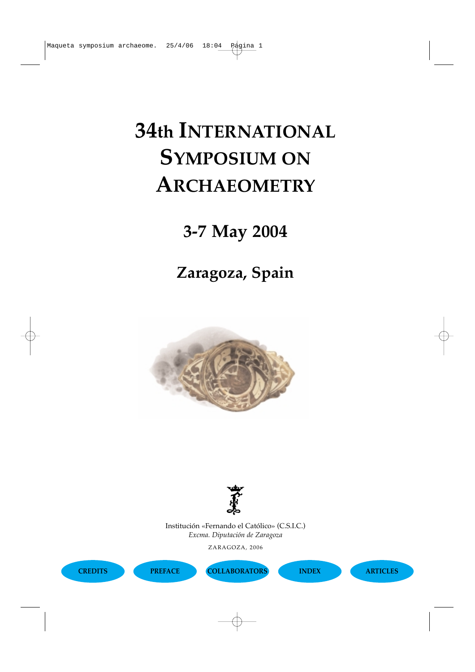# **34th INTERNATIONAL SYMPOSIUM ON ARCHAEOMETRY**

## **3-7 May 2004**

### **Zaragoza, Spain**





Patrimoni-UB Group *Excma. Diputación de Zaragoza* Institución «Fernando el Católico» (C.S.I.C.)

University of Barcelona, Spain ZARAGOZA, 2006

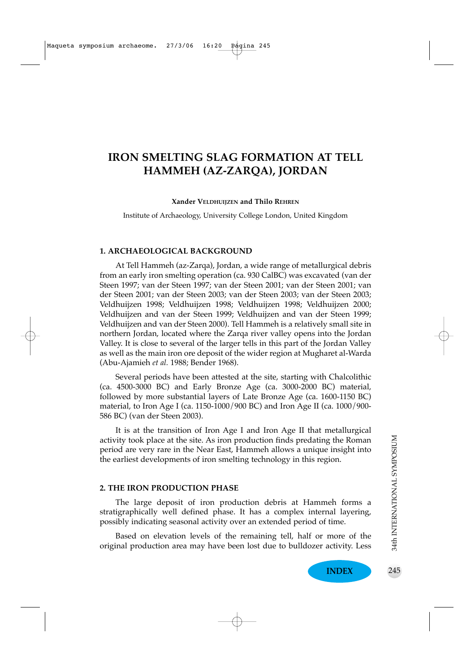### **IRON SMELTING SLAG FORMATION AT TELL HAMMEH (AZ-ZARQA), JORDAN**

#### **Xander VELDHUIJZEN and Thilo REHREN**

Institute of Archaeology, University College London, United Kingdom

#### **1. ARCHAEOLOGICAL BACKGROUND**

At Tell Hammeh (az-Zarqa), Jordan, a wide range of metallurgical debris from an early iron smelting operation (ca. 930 CalBC) was excavated (van der Steen 1997; van der Steen 1997; van der Steen 2001; van der Steen 2001; van der Steen 2001; van der Steen 2003; van der Steen 2003; van der Steen 2003; Veldhuijzen 1998; Veldhuijzen 1998; Veldhuijzen 1998; Veldhuijzen 2000; Veldhuijzen and van der Steen 1999; Veldhuijzen and van der Steen 1999; Veldhuijzen and van der Steen 2000). Tell Hammeh is a relatively small site in northern Jordan, located where the Zarqa river valley opens into the Jordan Valley. It is close to several of the larger tells in this part of the Jordan Valley as well as the main iron ore deposit of the wider region at Mugharet al-Warda (Abu-Ajamieh *et al.* 1988; Bender 1968).

Several periods have been attested at the site, starting with Chalcolithic (ca. 4500-3000 BC) and Early Bronze Age (ca. 3000-2000 BC) material, followed by more substantial layers of Late Bronze Age (ca. 1600-1150 BC) material, to Iron Age I (ca. 1150-1000/900 BC) and Iron Age II (ca. 1000/900- 586 BC) (van der Steen 2003).

It is at the transition of Iron Age I and Iron Age II that metallurgical activity took place at the site. As iron production finds predating the Roman period are very rare in the Near East, Hammeh allows a unique insight into the earliest developments of iron smelting technology in this region.

#### **2. THE IRON PRODUCTION PHASE**

The large deposit of iron production debris at Hammeh forms a stratigraphically well defined phase. It has a complex internal layering, possibly indicating seasonal activity over an extended period of time.

Based on elevation levels of the remaining tell, half or more of the original production area may have been lost due to bulldozer activity. Less

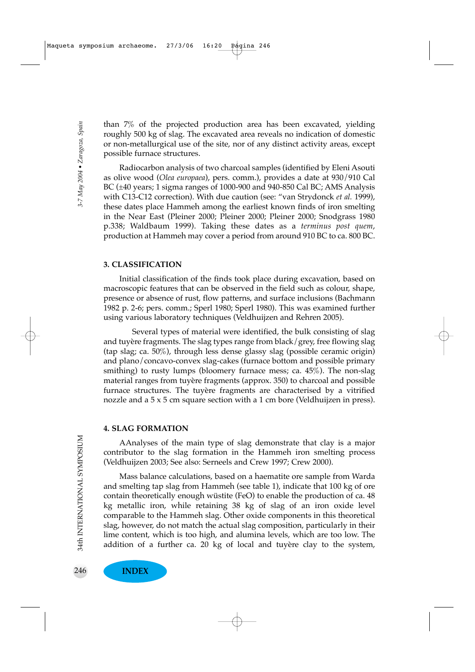than 7% of the projected production area has been excavated, yielding roughly 500 kg of slag. The excavated area reveals no indication of domestic or non-metallurgical use of the site, nor of any distinct activity areas, except possible furnace structures.

Radiocarbon analysis of two charcoal samples (identified by Eleni Asouti as olive wood (*Olea europaea*), pers. comm.), provides a date at 930/910 Cal BC (±40 years; 1 sigma ranges of 1000-900 and 940-850 Cal BC; AMS Analysis with C13-C12 correction). With due caution (see: "van Strydonck *et al.* 1999), these dates place Hammeh among the earliest known finds of iron smelting in the Near East (Pleiner 2000; Pleiner 2000; Pleiner 2000; Snodgrass 1980 p.338; Waldbaum 1999). Taking these dates as a *terminus post quem*, production at Hammeh may cover a period from around 910 BC to ca. 800 BC.

#### **3. CLASSIFICATION**

Initial classification of the finds took place during excavation, based on macroscopic features that can be observed in the field such as colour, shape, presence or absence of rust, flow patterns, and surface inclusions (Bachmann 1982 p. 2-6; pers. comm.; Sperl 1980; Sperl 1980). This was examined further using various laboratory techniques (Veldhuijzen and Rehren 2005).

Several types of material were identified, the bulk consisting of slag and tuyère fragments. The slag types range from black/grey, free flowing slag (tap slag; ca. 50%), through less dense glassy slag (possible ceramic origin) and plano/concavo-convex slag-cakes (furnace bottom and possible primary smithing) to rusty lumps (bloomery furnace mess; ca. 45%). The non-slag material ranges from tuyère fragments (approx. 350) to charcoal and possible furnace structures. The tuyère fragments are characterised by a vitrified nozzle and a 5 x 5 cm square section with a 1 cm bore (Veldhuijzen in press).

#### **4. SLAG FORMATION**

AAnalyses of the main type of slag demonstrate that clay is a major contributor to the slag formation in the Hammeh iron smelting process (Veldhuijzen 2003; See also: Serneels and Crew 1997; Crew 2000).

Mass balance calculations, based on a haematite ore sample from Warda and smelting tap slag from Hammeh (see table 1), indicate that 100 kg of ore contain theoretically enough wüstite (FeO) to enable the production of ca. 48 kg metallic iron, while retaining 38 kg of slag of an iron oxide level comparable to the Hammeh slag. Other oxide components in this theoretical slag, however, do not match the actual slag composition, particularly in their lime content, which is too high, and alumina levels, which are too low. The addition of a further ca. 20 kg of local and tuyère clay to the system,

246 **INDEX**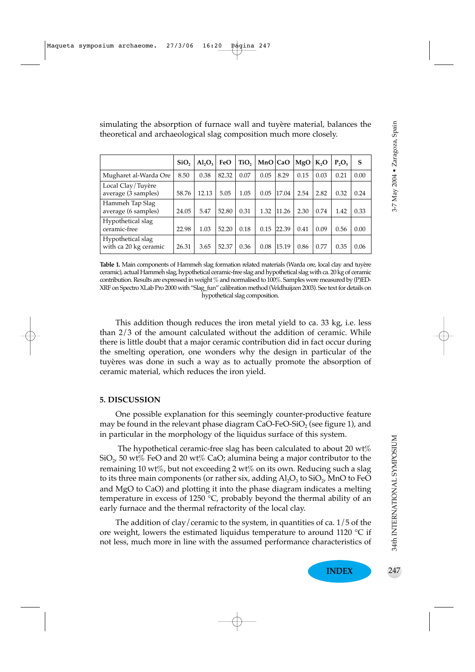simulating the absorption of furnace wall and tuyère material, balances the theoretical and archaeological slag composition much more closely.

|                                            | SiO <sub>2</sub> | AI <sub>2</sub> O <sub>3</sub> | FeO   | TiO <sub>2</sub> | MnO   CaO |       | MgO  | K <sub>2</sub> O | $P_2O_5$ | s    |
|--------------------------------------------|------------------|--------------------------------|-------|------------------|-----------|-------|------|------------------|----------|------|
| Mugharet al-Warda Ore                      | 8.50             | 0.38                           | 82.32 | 0.07             | 0.05      | 8.29  | 0.15 | 0.03             | 0.21     | 0.00 |
| Local Clay/Tuyère<br>average (3 samples)   | 58.76            | 12.13                          | 5.05  | 1.05             | 0.05      | 17.04 | 2.54 | 2.82             | 0.32     | 0.24 |
| Hammeh Tap Slag<br>average (6 samples)     | 24.05            | 5.47                           | 52.80 | 0.31             | 1.32      | 11.26 | 2.30 | 0.74             | 1.42     | 0.33 |
| Hypothetical slag<br>ceramic-free          | 22.98            | 1.03                           | 52.20 | 0.18             | 0.15      | 22.39 | 0.41 | 0.09             | 0.56     | 0.00 |
| Hypothetical slag<br>with ca 20 kg ceramic | 26.31            | 3.65                           | 52.37 | 0.36             | 0.08      | 15.19 | 0.86 | 0.77             | 0.35     | 0.06 |

**Table 1.** Main components of Hammeh slag formation related materials (Warda ore, local clay and tuyère ceramic), actual Hammeh slag, hypothetical ceramic-free slag and hypothetical slag with ca. 20 kg of ceramic contribution. Results are expressed in weight % and normalised to 100%. Samples were measured by (P)ED-XRF on Spectro XLab Pro 2000 with "Slag\_fun" calibration method (Veldhuijzen 2003). See text for details on hypothetical slag composition.

This addition though reduces the iron metal yield to ca. 33 kg, i.e. less than 2/3 of the amount calculated without the addition of ceramic. While there is little doubt that a major ceramic contribution did in fact occur during the smelting operation, one wonders why the design in particular of the tuyères was done in such a way as to actually promote the absorption of ceramic material, which reduces the iron yield.

#### **5. DISCUSSION**

One possible explanation for this seemingly counter-productive feature may be found in the relevant phase diagram CaO-FeO-SiO<sub>2</sub> (see figure 1), and in particular in the morphology of the liquidus surface of this system.

The hypothetical ceramic-free slag has been calculated to about 20  $\text{wt}\%$  $\mathrm{SiO}_{2}$ , 50 wt% FeO and 20 wt% CaO; alumina being a major contributor to the remaining 10 wt%, but not exceeding 2 wt% on its own. Reducing such a slag to its three main components (or rather six, adding  $Al_2O_3$  to  $SiO_2$ , MnO to FeO and MgO to CaO) and plotting it into the phase diagram indicates a melting temperature in excess of 1250 °C, probably beyond the thermal ability of an early furnace and the thermal refractority of the local clay.

The addition of clay/ceramic to the system, in quantities of ca. 1/5 of the ore weight, lowers the estimated liquidus temperature to around 1120 °C if not less, much more in line with the assumed performance characteristics of

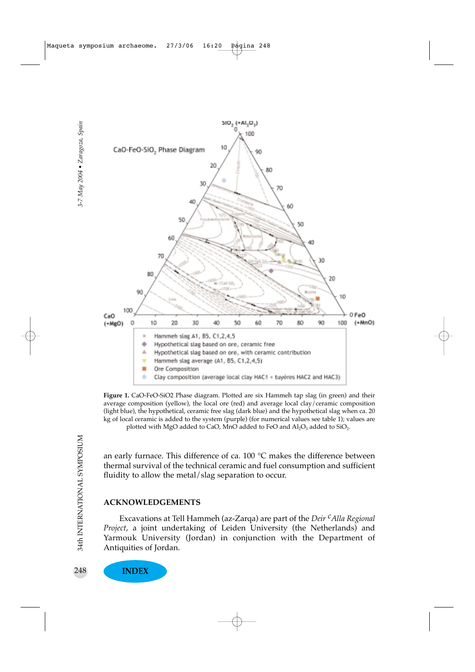

**Figure 1.** CaO-FeO-SiO2 Phase diagram. Plotted are six Hammeh tap slag (in green) and their average composition (yellow), the local ore (red) and average local clay/ceramic composition (light blue), the hypothetical, ceramic free slag (dark blue) and the hypothetical slag when ca. 20 kg of local ceramic is added to the system (purple) (for numerical values see table 1); values are plotted with MgO added to CaO, MnO added to FeO and  $Al_2O_3$  added to SiO<sub>2</sub>.

an early furnace. This difference of ca.  $100\text{ °C}$  makes the difference between thermal survival of the technical ceramic and fuel consumption and sufficient fluidity to allow the metal/slag separation to occur.

#### **ACKNOWLEDGEMENTS**

Excavations at Tell Hammeh (az-Zarqa) are part of the *Deir cAlla Regional Project*, a joint undertaking of Leiden University (the Netherlands) and Yarmouk University (Jordan) in conjunction with the Department of Antiquities of Jordan.

**INDEX**

248

34th INTERNATIONAL SYMPOSIUM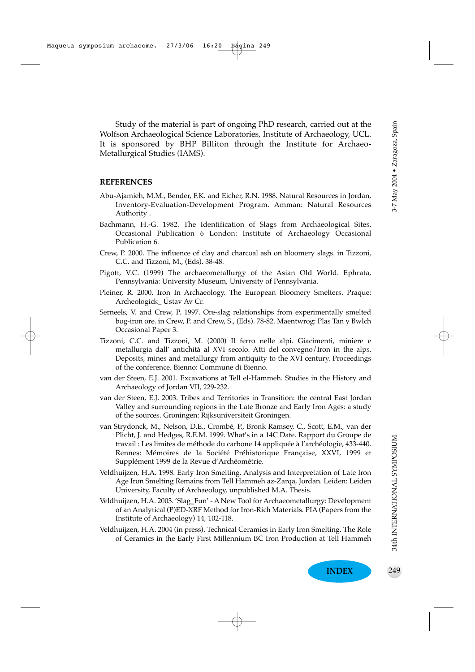Study of the material is part of ongoing PhD research, carried out at the Wolfson Archaeological Science Laboratories, Institute of Archaeology, UCL. It is sponsored by BHP Billiton through the Institute for Archaeo-Metallurgical Studies (IAMS).

#### **REFERENCES**

- Abu-Ajamieh, M.M., Bender, F.K. and Eicher, R.N. 1988. Natural Resources in Jordan, Inventory-Evaluation-Development Program. Amman: Natural Resources Authority .
- Bachmann, H.-G. 1982. The Identification of Slags from Archaeological Sites. Occasional Publication 6 London: Institute of Archaeology Occasional Publication 6.
- Crew, P. 2000. The influence of clay and charcoal ash on bloomery slags. in Tizzoni, C.C. and Tizzoni, M., (Eds). 38-48.
- Pigott, V.C. (1999) The archaeometallurgy of the Asian Old World. Ephrata, Pennsylvania: University Museum, University of Pennsylvania.
- Pleiner, R. 2000. Iron In Archaeology. The European Bloomery Smelters. Praque: Archeologick\_ Ústav Av Cr.
- Serneels, V. and Crew, P. 1997. Ore-slag relationships from experimentally smelted bog-iron ore. in Crew, P. and Crew, S., (Eds). 78-82. Maentwrog: Plas Tan y Bwlch Occasional Paper 3.
- Tizzoni, C.C. and Tizzoni, M. (2000) Il ferro nelle alpi. Giacimenti, miniere e metallurgia dall' antichità al XVI secolo. Atti del convegno/Iron in the alps. Deposits, mines and metallurgy from antiquity to the XVI century. Proceedings of the conference. Bienno: Commune di Bienno.
- van der Steen, E.J. 2001. Excavations at Tell el-Hammeh. Studies in the History and Archaeology of Jordan VII, 229-232.
- van der Steen, E.J. 2003. Tribes and Territories in Transition: the central East Jordan Valley and surrounding regions in the Late Bronze and Early Iron Ages: a study of the sources. Groningen: Rijksuniversiteit Groningen.
- van Strydonck, M., Nelson, D.E., Crombé, P., Bronk Ramsey, C., Scott, E.M., van der Plicht, J. and Hedges, R.E.M. 1999. What's in a 14C Date. Rapport du Groupe de travail : Les limites de méthode du carbone 14 appliquée à l'archéologie, 433-440. Rennes: Mémoires de la Société Préhistorique Française, XXVI, 1999 et Supplément 1999 de la Revue d'Archéométrie.
- Veldhuijzen, H.A. 1998. Early Iron Smelting. Analysis and Interpretation of Late Iron Age Iron Smelting Remains from Tell Hammeh az-Zarqa, Jordan. Leiden: Leiden University, Faculty of Archaeology, unpublished M.A. Thesis.
- Veldhuijzen, H.A. 2003. 'Slag\_Fun' A New Tool for Archaeometallurgy: Development of an Analytical (P)ED-XRF Method for Iron-Rich Materials. PIA (Papers from the Institute of Archaeology) 14, 102-118.
- Veldhuijzen, H.A. 2004 (in press). Technical Ceramics in Early Iron Smelting. The Role of Ceramics in the Early First Millennium BC Iron Production at Tell Hammeh